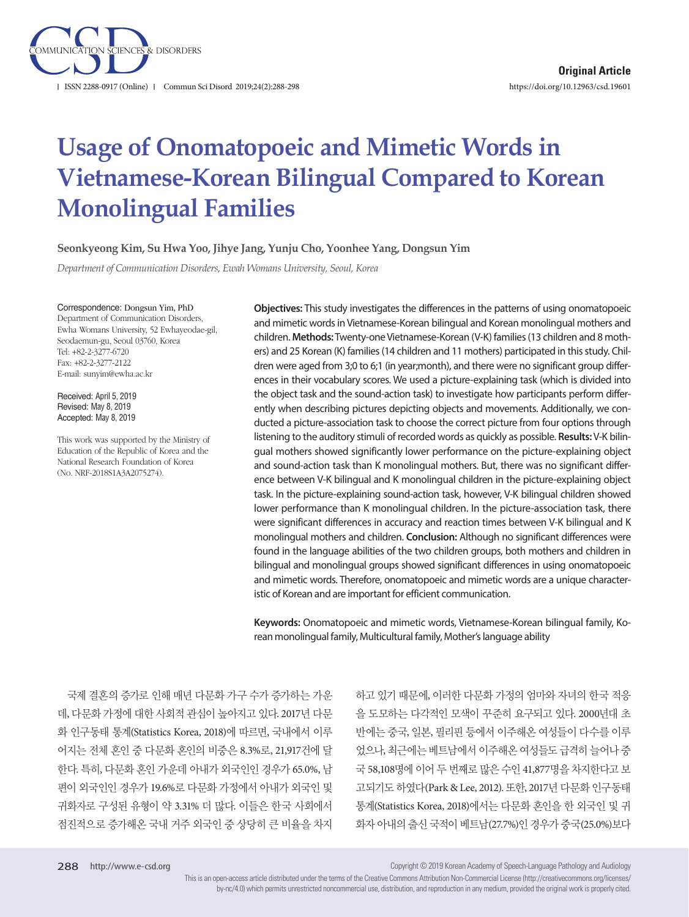

# **Usage of Onomatopoeic and Mimetic Words in Vietnamese-Korean Bilingual Compared to Korean Monolingual Families**

**Seonkyeong Kim, Su Hwa Yoo, Jihye Jang, Yunju Cho, Yoonhee Yang, Dongsun Yim**

*Department of Communication Disorders, Ewah Womans University, Seoul, Korea*

Correspondence: Dongsun Yim, PhD

Department of Communication Disorders, Ewha Womans University, 52 Ewhayeodae-gil, Seodaemun-gu, Seoul 03760, Korea Tel: +82-2-3277-6720 Fax: +82-2-3277-2122 E-mail: sunyim@ewha.ac.kr

Received: April 5, 2019 Revised: May 8, 2019 Accepted: May 8, 2019

This work was supported by the Ministry of Education of the Republic of Korea and the National Research Foundation of Korea (No. NRF-2018S1A3A2075274).

**Objectives:** This study investigates the differences in the patterns of using onomatopoeic and mimetic words in Vietnamese-Korean bilingual and Korean monolingual mothers and children. **Methods:** Twenty-one Vietnamese-Korean (V-K) families (13 children and 8 mothers) and 25 Korean (K) families (14 children and 11 mothers) participated in this study. Children were aged from 3;0 to 6;1 (in year;month), and there were no significant group differences in their vocabulary scores. We used a picture-explaining task (which is divided into the object task and the sound-action task) to investigate how participants perform differently when describing pictures depicting objects and movements. Additionally, we conducted a picture-association task to choose the correct picture from four options through listening to the auditory stimuli of recorded words as quickly as possible. **Results:** V-K bilingual mothers showed significantly lower performance on the picture-explaining object and sound-action task than K monolingual mothers. But, there was no significant difference between V-K bilingual and K monolingual children in the picture-explaining object task. In the picture-explaining sound-action task, however, V-K bilingual children showed lower performance than K monolingual children. In the picture-association task, there were significant differences in accuracy and reaction times between V-K bilingual and K monolingual mothers and children. **Conclusion:** Although no significant differences were found in the language abilities of the two children groups, both mothers and children in bilingual and monolingual groups showed significant differences in using onomatopoeic and mimetic words. Therefore, onomatopoeic and mimetic words are a unique characteristic of Korean and are important for efficient communication.

**Keywords:** Onomatopoeic and mimetic words, Vietnamese-Korean bilingual family, Korean monolingual family, Multicultural family, Mother's language ability

국제 결혼의 증가로 인해 매년 다문화 가구 수가 증가하는 가운 데, 다문화 가정에 대한 사회적 관심이 높아지고 있다. 2017년 다문 화 인구동태 통계(Statistics Korea, 2018)에 따르면, 국내에서 이루 어지는 전체 혼인 중 다문화 혼인의 비중은 8.3%로, 21,917건에 달 한다. 특히, 다문화 혼인 가운데 아내가 외국인인 경우가 65.0%, 남 편이 외국인인 경우가 19.6%로 다문화 가정에서 아내가 외국인 및 귀화자로 구성된 유형이 약 3.31% 더 많다. 이들은 한국 사회에서 점진적으로 증가해온 국내 거주 외국인 중 상당히 큰 비율을 차지 하고 있기 때문에, 이러한 다문화 가정의 엄마와 자녀의 한국 적응 을 도모하는 다각적인 모색이 꾸준히 요구되고 있다. 2000년대 초 반에는 중국, 일본, 필리핀 등에서 이주해온 여성들이 다수를 이루 었으나, 최근에는 베트남에서 이주해온 여성들도 급격히 늘어나 중 국 58,108명에 이어 두 번째로 많은 수인 41,877명을 차지한다고 보 고되기도 하였다(Park & Lee, 2012). 또한, 2017년 다문화 인구동태 통계(Statistics Korea, 2018)에서는 다문화 혼인을 한 외국인 및 귀 화자 아내의 출신 국적이 베트남(27.7%)인 경우가 중국(25.0%)보다

Copyright © 2019 Korean Academy of Speech-Language Pathology and Audiology

This is an open-access article distributed under the terms of the Creative Commons Attribution Non-Commercial License (http://creativecommons.org/licenses/ by-nc/4.0) which permits unrestricted noncommercial use, distribution, and reproduction in any medium, provided the original work is properly cited.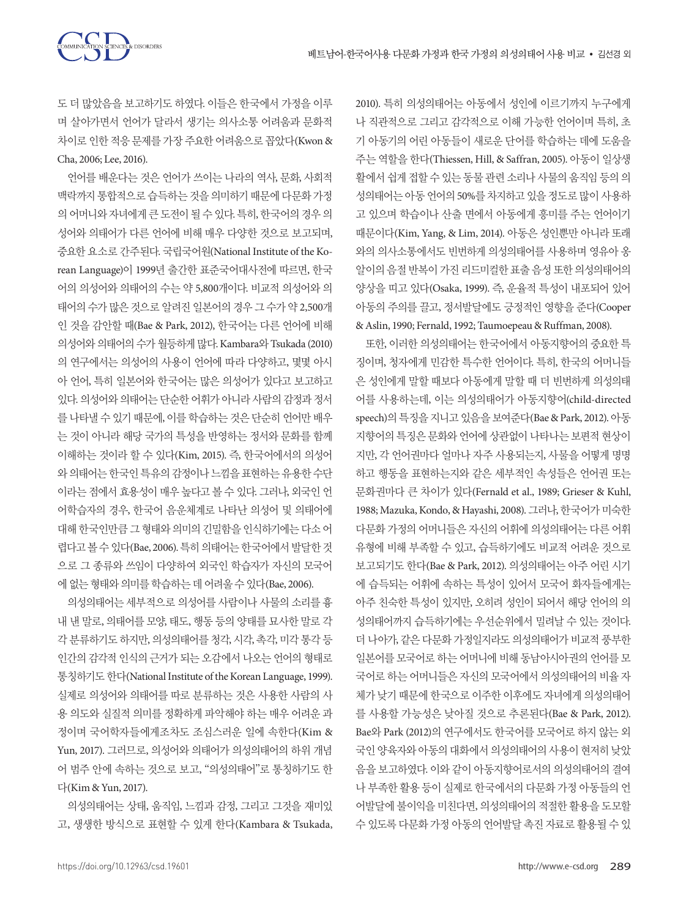도 더 많았음을 보고하기도 하였다. 이들은 한국에서 가정을 이루 며 살아가면서 언어가 달라서 생기는 의사소통 어려움과 문화적 차이로 인한 적응 문제를 가장 주요한 어려움으로 꼽았다(Kwon & Cha, 2006; Lee, 2016).

언어를 배운다는 것은 언어가 쓰이는 나라의 역사, 문화, 사회적 맥락까지통합적으로습득하는것을의미하기때문에다문화가정 의어머니와자녀에게큰도전이될수있다. 특히, 한국어의경우의 성어와 의태어가 다른 언어에 비해 매우 다양한 것으로 보고되며, 중요한 요소로 간주된다. 국립국어원(National Institute of the Korean Language)이 1999년 출간한 표준국어대사전에 따르면, 한국 어의 의성어와 의태어의 수는 약 5,800개이다. 비교적 의성어와 의 태어의 수가 많은 것으로 알려진 일본어의 경우 그 수가 약 2,500개 인 것을 감안할 때(Bae & Park, 2012), 한국어는 다른 언어에 비해 의성어와 의태어의 수가 월등하게 많다. Kambara와 Tsukada (2010) 의 연구에서는 의성어의 사용이 언어에 따라 다양하고, 몇몇 아시 아 언어, 특히 일본어와 한국어는 많은 의성어가 있다고 보고하고 있다. 의성어와 의태어는 단순한 어휘가 아니라 사람의 감정과 정서 를 나타낼 수 있기 때문에, 이를 학습하는 것은 단순히 언어만 배우 는 것이 아니라 해당 국가의 특성을 반영하는 정서와 문화를 함께 이해하는 것이라 할 수 있다(Kim, 2015). 즉, 한국어에서의 의성어 와의태어는한국인특유의감정이나느낌을표현하는유용한수단 이라는 점에서 효용성이 매우 높다고 볼 수 있다. 그러나, 외국인 언 어학습자의 경우, 한국어 음운체계로 나타난 의성어 및 의태어에 대해 한국인만큼 그 형태와 의미의 긴밀함을 인식하기에는 다소 어 렵다고 볼 수 있다(Bae, 2006). 특히 의태어는 한국어에서 발달한 것 으로 그 종류와 쓰임이 다양하여 외국인 학습자가 자신의 모국어 에 없는 형태와 의미를 학습하는 데 어려울 수 있다(Bae, 2006).

의성의태어는 세부적으로 의성어를 사람이나 사물의 소리를 흉 내 낸 말로, 의태어를 모양, 태도, 행동 등의 양태를 묘사한 말로 각 각 분류하기도 하지만, 의성의태어를 청각, 시각, 촉각, 미각 통각 등 인간의 감각적 인식의 근거가 되는 오감에서 나오는 언어의 형태로 통칭하기도 한다(National Institute of the Korean Language, 1999). 실제로 의성어와 의태어를 따로 분류하는 것은 사용한 사람의 사 용 의도와 실질적 의미를 정확하게 파악해야 하는 매우 어려운 과 정이며 국어학자들에게조차도 조심스러운 일에 속한다(Kim & Yun, 2017). 그러므로, 의성어와 의태어가 의성의태어의 하위 개념 어 범주 안에 속하는 것으로 보고, "의성의태어"로 통칭하기도 한 다(Kim & Yun, 2017).

의성의태어는 상태, 움직임, 느낌과 감정, 그리고 그것을 재미있 고, 생생한 방식으로 표현할 수 있게 한다(Kambara & Tsukada, 2010). 특히 의성의태어는 아동에서 성인에 이르기까지 누구에게 나 직관적으로 그리고 감각적으로 이해 가능한 언어이며 특히, 초 기 아동기의 어린 아동들이 새로운 단어를 학습하는 데에 도움을 주는 역할을 한다(Thiessen, Hill, & Saffran, 2005). 아동이 일상생 활에서 쉽게 접할 수 있는 동물 관련 소리나 사물의 움직임 등의 의 성의태어는 아동 언어의 50%를 차지하고 있을 정도로 많이 사용하 고 있으며 학습이나 산출 면에서 아동에게 흥미를 주는 언어이기 때문이다(Kim, Yang, & Lim, 2014). 아동은 성인뿐만 아니라 또래 와의 의사소통에서도 빈번하게 의성의태어를 사용하며 영유아 옹 알이의 음절 반복이 가진 리드미컬한 표출 음성 또한 의성의태어의 양상을 띠고 있다(Osaka, 1999). 즉, 운율적 특성이 내포되어 있어 아동의 주의를 끌고, 정서발달에도 긍정적인 영향을 준다(Cooper & Aslin, 1990; Fernald, 1992; Taumoepeau & Ruffman, 2008).

또한, 이러한 의성의태어는 한국어에서 아동지향어의 중요한 특 징이며, 청자에게 민감한 특수한 언어이다. 특히, 한국의 어머니들 은 성인에게 말할 때보다 아동에게 말할 때 더 빈번하게 의성의태 어를 사용하는데, 이는 의성의태어가 아동지향어(child-directed speech)의 특징을 지니고 있음을 보여준다(Bae & Park, 2012). 아동 지향어의 특징은 문화와 언어에 상관없이 나타나는 보편적 현상이 지만, 각 언어권마다 얼마나 자주 사용되는지, 사물을 어떻게 명명 하고 행동을 표현하는지와 같은 세부적인 속성들은 언어권 또는 문화권마다 큰 차이가 있다(Fernald et al., 1989; Grieser & Kuhl, 1988; Mazuka, Kondo, & Hayashi, 2008). 그러나, 한국어가 미숙한 다문화 가정의 어머니들은 자신의 어휘에 의성의태어는 다른 어휘 유형에 비해 부족할 수 있고, 습득하기에도 비교적 어려운 것으로 보고되기도 한다(Bae & Park, 2012). 의성의태어는 아주 어린 시기 에 습득되는 어휘에 속하는 특성이 있어서 모국어 화자들에게는 아주 친숙한 특성이 있지만, 오히려 성인이 되어서 해당 언어의 의 성의태어까지 습득하기에는 우선순위에서 밀려날 수 있는 것이다. 더 나아가, 같은 다문화 가정일지라도 의성의태어가 비교적 풍부한 일본어를 모국어로 하는 어머니에 비해 동남아시아권의 언어를 모 국어로 하는 어머니들은 자신의 모국어에서 의성의태어의 비율 자 체가 낮기 때문에 한국으로 이주한 이후에도 자녀에게 의성의태어 를 사용할 가능성은 낮아질 것으로 추론된다(Bae & Park, 2012). Bae와 Park (2012)의 연구에서도 한국어를 모국어로 하지 않는 외 국인 양육자와 아동의 대화에서 의성의태어의 사용이 현저히 낮았 음을 보고하였다. 이와 같이 아동지향어로서의 의성의태어의 결여 나 부족한 활용 등이 실제로 한국에서의 다문화 가정 아동들의 언 어발달에 불이익을 미친다면, 의성의태어의 적절한 활용을 도모할 수 있도록 다문화 가정 아동의 언어발달 촉진 자료로 활용될 수 있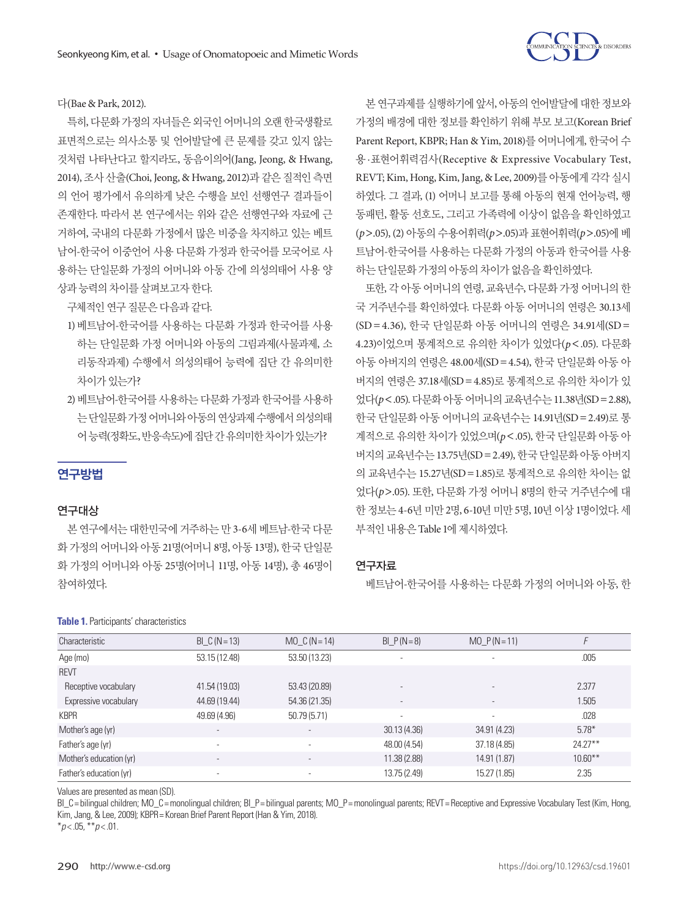

다(Bae & Park, 2012).

특히, 다문화 가정의 자녀들은 외국인 어머니의 오랜 한국생활로 표면적으로는 의사소통 및 언어발달에 큰 문제를 갖고 있지 않는 것처럼 나타난다고 할지라도, 동음이의어(Jang, Jeong, & Hwang, 2014), 조사 산출(Choi, Jeong, & Hwang, 2012)과 같은 질적인 측면 의 언어 평가에서 유의하게 낮은 수행을 보인 선행연구 결과들이 존재한다. 따라서 본 연구에서는 위와 같은 선행연구와 자료에 근 거하여, 국내의 다문화 가정에서 많은 비중을 차지하고 있는 베트 남어-한국어 이중언어 사용 다문화 가정과 한국어를 모국어로 사 용하는 단일문화 가정의 어머니와 아동 간에 의성의태어 사용 양 상과능력의차이를살펴보고자한다.

구체적인 연구 질문은 다음과 같다.

- 1) 베트남어-한국어를 사용하는 다문화 가정과 한국어를 사용 하는 단일문화 가정 어머니와 아동의 그림과제(사물과제, 소 리동작과제) 수행에서 의성의태어 능력에 집단 간 유의미한 차이가 있는가?
- 2) 베트남어-한국어를 사용하는 다문화 가정과 한국어를 사용하 는단일문화가정어머니와아동의연상과제수행에서의성의태 어능력(정확도, 반응속도)에집단간유의미한차이가있는가?

# 연구방법

## 연구대상

본 연구에서는 대한민국에 거주하는 만 3-6세 베트남-한국 다문 화 가정의 어머니와 아동 21명(어머니 8명, 아동 13명), 한국 단일문 화 가정의 어머니와 아동 25명(어머니 11명, 아동 14명), 총 46명이 참여하였다.

#### **Table 1.** Participants' characteristics

본 연구과제를 실행하기에 앞서, 아동의 언어발달에 대한 정보와 가정의 배경에 대한 정보를 확인하기 위해 부모 보고(Korean Brief Parent Report, KBPR; Han & Yim, 2018)를 어머니에게, 한국어 수 용 ·표현어휘력검사(Receptive & Expressive Vocabulary Test, REVT; Kim, Hong, Kim, Jang, & Lee, 2009)를 아동에게 각각 실시 하였다. 그 결과, (1) 어머니 보고를 통해 아동의 현재 언어능력, 행 동패턴, 활동 선호도, 그리고 가족력에 이상이 없음을 확인하였고 (*p*>.05), (2) 아동의 수용어휘력(*p*>.05)과 표현어휘력(*p*>.05)에 베 트남어-한국어를 사용하는 다문화 가정의 아동과 한국어를 사용 하는 다일무화 가정의 아동의 차이가 없음을 확인하였다.

또한, 각 아동 어머니의 연령, 교육년수, 다문화 가정 어머니의 한 국 거주년수를 확인하였다. 다문화 아동 어머니의 연령은 30.13세 (SD=4.36), 한국 단일문화 아동 어머니의 연령은 34.91세(SD= 4.23)이었으며 통계적으로 유의한 차이가 있었다(*p*<.05). 다문화 아동 아버지의 연령은 48.00세(SD=4.54), 한국 단일문화 아동 아 버지의 연령은 37.18세(SD=4.85)로 통계적으로 유의한 차이가 있 었다(*p*<.05). 다문화아동어머니의교육년수는 11.38년(SD=2.88), 한국 단일문화 아동 어머니의 교육년수는 14.91년(SD=2.49)로 통 계적으로 유의한 차이가 있었으며(*p*<.05), 한국 단일문화 아동 아 버지의 교육년수는 13.75년(SD=2.49), 한국 단일문화 아동 아버지 의 교육년수는 15.27년(SD=1.85)로 통계적으로 유의한 차이는 없 었다(*p*>.05). 또한, 다문화 가정 어머니 8명의 한국 거주년수에 대 한 정보는 4-6년 미만 2명, 6-10년 미만 5명, 10년 이상 1명이었다. 세 부적인 내용은 Table 1에 제시하였다.

## 연구자료

베트남어-한국어를 사용하는 다문화 가정의 어머니와 아동, 한

| Characteristic          | $BI_C(N = 13)$           | MO $C(N=14)$             | $BI_P(N=8)$              | $MO_P(N=11)$             |            |
|-------------------------|--------------------------|--------------------------|--------------------------|--------------------------|------------|
| Age (mo)                | 53.15 (12.48)            | 53.50 (13.23)            | $\overline{\phantom{a}}$ |                          | .005       |
| <b>REVT</b>             |                          |                          |                          |                          |            |
| Receptive vocabulary    | 41.54 (19.03)            | 53.43 (20.89)            | $\overline{\phantom{a}}$ |                          | 2.377      |
| Expressive vocabulary   | 44.69 (19.44)            | 54.36 (21.35)            | $\overline{\phantom{a}}$ | $\overline{\phantom{a}}$ | 1.505      |
| <b>KBPR</b>             | 49.69 (4.96)             | 50.79(5.71)              | $\sim$                   | $\overline{\phantom{a}}$ | .028       |
| Mother's age (yr)       | $\overline{\phantom{a}}$ | $\overline{\phantom{a}}$ | 30.13(4.36)              | 34.91 (4.23)             | $5.78*$    |
| Father's age (yr)       | ٠                        | ٠                        | 48.00 (4.54)             | 37.18(4.85)              | $24.27***$ |
| Mother's education (yr) | $\overline{\phantom{a}}$ | $\overline{\phantom{a}}$ | 11.38(2.88)              | 14.91 (1.87)             | $10.60***$ |
| Father's education (yr) | ۰                        |                          | 13.75 (2.49)             | 15.27 (1.85)             | 2.35       |

Values are presented as mean (SD).

BI\_C= bilingual children; MO\_C= monolingual children; BI\_P= bilingual parents; MO\_P= monolingual parents; REVT= Receptive and Expressive Vocabulary Test (Kim, Hong, Kim, Jang, & Lee, 2009); KBPR= Korean Brief Parent Report (Han & Yim, 2018).

\**p* < .05, \*\**p* < .01.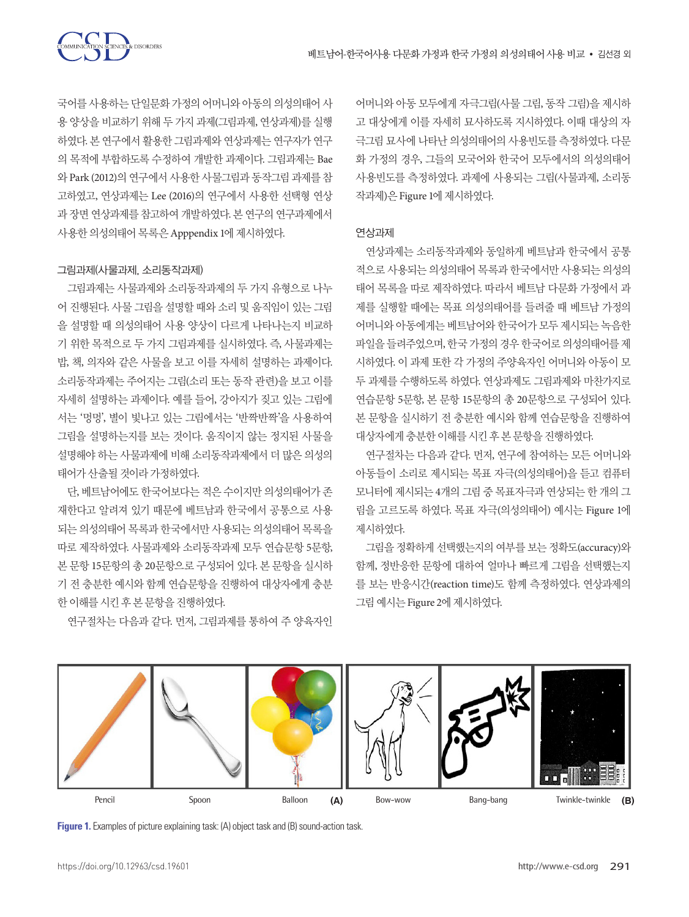

국어를 사용하는 단일문화 가정의 어머니와 아동의 의성의태어 사 용 양상을 비교하기 위해 두 가지 과제(그림과제, 연상과제)를 실행 하였다. 본 연구에서 활용한 그림과제와 연상과제는 연구자가 연구 의 목적에 부합하도록 수정하여 개발한 과제이다. 그림과제는 Bae 와 Park (2012)의 연구에서 사용한 사물그림과 동작그림 과제를 참 고하였고, 연상과제는 Lee (2016)의 연구에서 사용한 선택형 연상 과 장면 연상과제를 참고하여 개발하였다. 본 연구의 연구과제에서 사용한 의성의태어 목록은 Apppendix 1에 제시하였다.

#### 그림과제(사물과제, 소리동작과제)

그림과제는 사물과제와 소리동작과제의 두 가지 유형으로 나누 어 진행된다. 사물 그림을 설명할 때와 소리 및 움직임이 있는 그림 을 설명할 때 의성의태어 사용 양상이 다르게 나타나는지 비교하 기 위한 목적으로 두 가지 그림과제를 실시하였다. 즉, 사물과제는 밥, 책, 의자와 같은 사물을 보고 이를 자세히 설명하는 과제이다. 소리동작과제는 주어지는 그림(소리 또는 동작 관련)을 보고 이를 자세히 설명하는 과제이다. 예를 들어, 강아지가 짖고 있는 그림에 서는 '멍멍', 별이 빛나고 있는 그림에서는 '반짝반짝'을 사용하여 그림을 설명하는지를 보는 것이다. 움직이지 않는 정지된 사물을 설명해야 하는 사물과제에 비해 소리동작과제에서 더 많은 의성의 태어가산출될것이라가정하였다.

단, 베트남어에도 한국어보다는 적은 수이지만 의성의태어가 존 재한다고 알려져 있기 때문에 베트남과 한국에서 공통으로 사용 되는 의성의태어 목록과 한국에서만 사용되는 의성의태어 목록을 따로 제작하였다. 사물과제와 소리동작과제 모두 연습문항 5문항, 본 문항 15문항의 총 20문항으로 구성되어 있다. 본 문항을 실시하 기 전 충분한 예시와 함께 연습문항을 진행하여 대상자에게 충분 한이해를시킨후본문항을진행하였다.

연구절차는 다음과 같다. 먼저, 그림과제를 통하여 주 양육자인

어머니와 아동 모두에게 자극그림(사물 그림, 동작 그림)을 제시하 고 대상에게 이를 자세히 묘사하도록 지시하였다. 이때 대상의 자 극그림 묘사에 나타난 의성의태어의 사용빈도를 측정하였다. 다문 화 가정의 경우, 그들의 모국어와 한국어 모두에서의 의성의태어 사용빈도를 측정하였다. 과제에 사용되는 그림(사물과제, 소리동 작과제)은 Figure 1에제시하였다.

#### 연상과제

연상과제는 소리동작과제와 동일하게 베트남과 한국에서 공통 적으로 사용되는 의성의태어 목록과 한국에서만 사용되는 의성의 태어 목록을 따로 제작하였다. 따라서 베트남 다문화 가정에서 과 제를 실행할 때에는 목표 의성의태어를 들려줄 때 베트남 가정의 어머니와 아동에게는 베트남어와 한국어가 모두 제시되는 녹음한 파일을 들려주었으며, 한국 가정의 경우 한국어로 의성의태어를 제 시하였다. 이 과제 또한 각 가정의 주양육자인 어머니와 아동이 모 두 과제를 수행하도록 하였다. 연상과제도 그림과제와 마찬가지로 연습문항 5문항, 본 문항 15문항의 총 20문항으로 구성되어 있다. 본 문항을 실시하기 전 충분한 예시와 함께 연습문항을 진행하여 대상자에게충분한이해를시킨후본문항을진행하였다.

연구절차는 다음과 같다. 먼저, 연구에 참여하는 모든 어머니와 아동들이 소리로 제시되는 목표 자극(의성의태어)을 듣고 컴퓨터 모니터에 제시되는 4개의 그림 중 목표자극과 연상되는 한 개의 그 림을 고르도록 하였다. 목표 자극(의성의태어) 예시는 Figure 1에 제시하였다.

그림을 정확하게 선택했는지의 여부를 보는 정확도(accuracy)와 함께, 정반응한 문항에 대하여 얼마나 빠르게 그림을 선택했는지 를 보는 반응시간(reaction time)도 함께 측정하였다. 연상과제의 그림예시는 Figure 2에제시하였다.



**Figure 1.** Examples of picture explaining task: (A) object task and (B) sound-action task.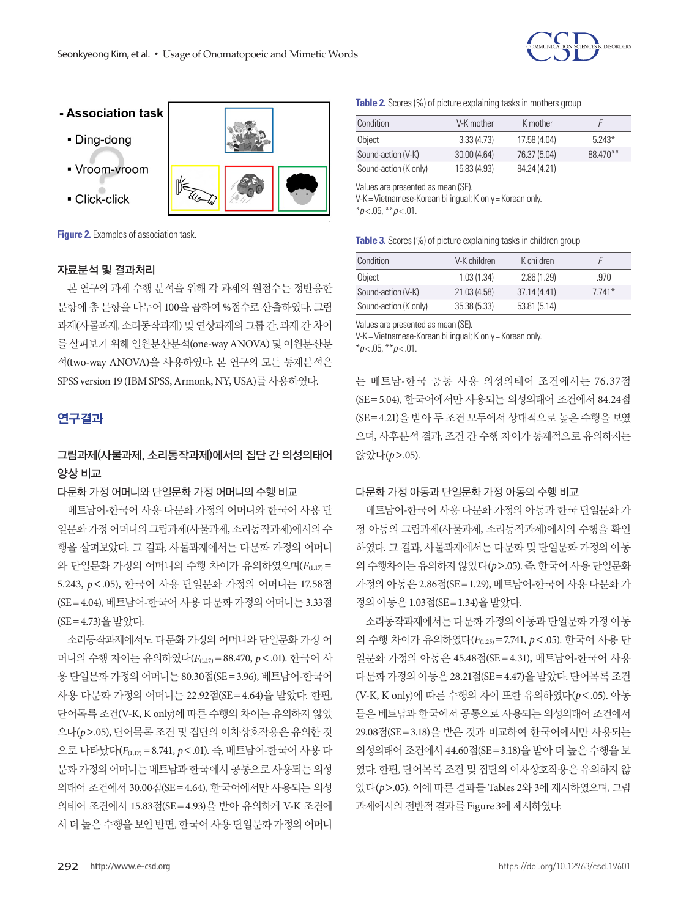

# - Association task

- · Ding-dong
- Vroom-vroom
- Click-click



**Figure 2.** Examples of association task.

#### 자료분석 및 결과처리

본 연구의 과제 수행 분석을 위해 각 과제의 원점수는 정반응한 문항에 총 문항을 나누어 100을 곱하여 %점수로 산출하였다. 그림 과제(사물과제, 소리동작과제) 및 연상과제의 그룹 간, 과제 간 차이 를 살펴보기 위해 일원분산분석(one-way ANOVA) 및 이원분산분 석(two-way ANOVA)을 사용하였다. 본 연구의 모든 통계분석은 SPSS version 19 (IBM SPSS, Armonk, NY, USA)를사용하였다.

# 연구결과

# 그림과제(사물과제, 소리동작과제)에서의 집단 간 의성의태어 양상 비교

#### 다문화 가정 어머니와 단일문화 가정 어머니의 수행 비교

베트남어-한국어 사용 다문화 가정의 어머니와 한국어 사용 단 일문화가정 어머니의 그림과제(사물과제, 소리동작과제)에서의 수 행을 살펴보았다. 그 결과, 사물과제에서는 다문화 가정의 어머니 와 단일문화 가정의 어머니의 수행 차이가 유의하였으며(*F*(1,17) = 5.243, *p*<.05), 한국어 사용 단일문화 가정의 어머니는 17.58점 (SE=4.04), 베트남어-한국어 사용 다문화 가정의 어머니는 3.33점 (SE=4.73)을받았다.

소리동작과제에서도 다문화 가정의 어머니와 단일문화 가정 어 머니의 수행 차이는 유의하였다(*F*(1,17)=88.470, *p*<.01). 한국어 사 용 단일문화 가정의 어머니는 80.30점(SE=3.96), 베트남어-한국어 사용 다문화 가정의 어머니는 22.92점(SE=4.64)을 받았다. 한편, 단어목록 조건(V-K, K only)에 따른 수행의 차이는 유의하지 않았 으나(*p*>.05), 단어목록 조건 및 집단의 이차상호작용은 유의한 것 으로 나타났다(*F*(1,17)=8.741, *p*<.01). 즉, 베트남어-한국어 사용 다 문화 가정의 어머니는 베트남과 한국에서 공통으로 사용되는 의성 의태어 조건에서 30.00점(SE=4.64), 한국어에서만 사용되는 의성 의태어 조건에서 15.83점(SE=4.93)을 받아 유의하게 V-K 조건에 서 더 높은 수행을 보인 반면, 한국어 사용 단일문화 가정의 어머니

**Table 2.** Scores (%) of picture explaining tasks in mothers group

| Condition             | V-K mother   | K mother     |          |
|-----------------------|--------------|--------------|----------|
| Object                | 3.33(4.73)   | 17.58 (4.04) | $5743*$  |
| Sound-action (V-K)    | 30.00(4.64)  | 76.37 (5.04) | 88 470** |
| Sound-action (K only) | 15.83 (4.93) | 84.24 (4.21) |          |

Values are presented as mean (SE).

V-K= Vietnamese-Korean bilingual; K only= Korean only.

\**p* < .05, \*\**p* < .01.

| Condition             | V-K children | K children   |         |
|-----------------------|--------------|--------------|---------|
| Object                | 1.03(1.34)   | 2.86(1.29)   | .970    |
| Sound-action (V-K)    | 21.03 (4.58) | 37.14(4.41)  | $7741*$ |
| Sound-action (K only) | 35.38(5.33)  | 53.81 (5.14) |         |

Values are presented as mean (SE).

V-K= Vietnamese-Korean bilingual; K only= Korean only.

\**p* < .05, \*\**p* < .01.

는 베트남-한국 공통 사용 의성의태어 조건에서는 76.37점 (SE=5.04), 한국어에서만 사용되는 의성의태어 조건에서 84.24점 (SE=4.21)을 받아 두 조건 모두에서 상대적으로 높은 수행을 보였 으며, 사후분석 결과, 조건 간 수행 차이가 통계적으로 유의하지는 않았다(*p*>.05).

## 다문화 가정 아동과 단일문화 가정 아동의 수행 비교

베트남어-한국어 사용 다문화 가정의 아동과 한국 단일문화 가 정 아동의 그림과제(사물과제, 소리동작과제)에서의 수행을 확인 하였다. 그 결과, 사물과제에서는 다문화 및 단일문화 가정의 아동 의 수행차이는 유의하지 않았다(*p*>.05). 즉, 한국어 사용 단일문화 가정의 아동은 2.86점(SE=1.29), 베트남어-한국어 사용 다문화 가 정의아동은 1.03점(SE=1.34)을받았다.

소리동작과제에서는 다문화 가정의 아동과 단일문화 가정 아동 의 수행 차이가 유의하였다(*F*(1,25)=7.741, *p*<.05). 한국어 사용 단 일문화 가정의 아동은 45.48점(SE=4.31), 베트남어-한국어 사용 다문화 가정의 아동은 28.21점(SE=4.47)을 받았다. 단어목록 조건 (V-K, K only)에 따른 수행의 차이 또한 유의하였다(*p*<.05). 아동 들은 베트남과 한국에서 공통으로 사용되는 의성의태어 조건에서 29.08점(SE=3.18)을 받은 것과 비교하여 한국어에서만 사용되는 의성의태어 조건에서 44.60점(SE=3.18)을 받아 더 높은 수행을 보 였다. 한편, 단어목록 조건 및 집단의 이차상호작용은 유의하지 않 았다(*p*>.05). 이에 따른 결과를 Tables 2와 3에 제시하였으며, 그림 과제에서의 전반적 결과를 Figure 3에 제시하였다.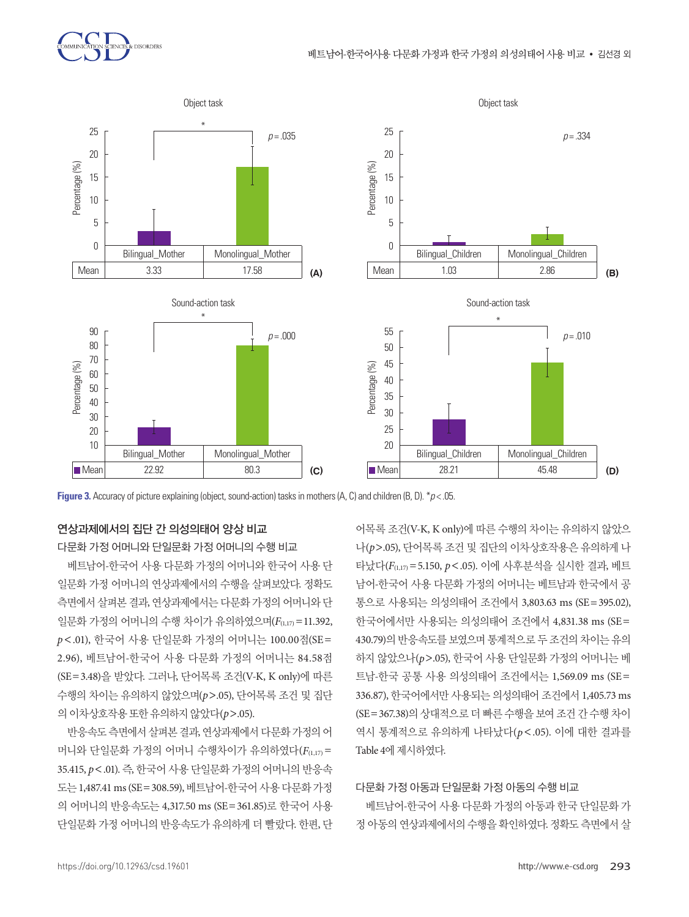



# 연상과제에서의 집단 간 의성의태어 양상 비교

다문화 가정 어머니와 단일문화 가정 어머니의 수행 비교

베트남어-한국어 사용 다문화 가정의 어머니와 한국어 사용 단 일문화 가정 어머니의 연상과제에서의 수행을 살펴보았다. 정확도 측면에서 살펴본 결과, 연상과제에서는 다문화 가정의 어머니와 단 일문화 가정의 어머니의 수행 차이가 유의하였으며(*F*(1,17)=11.392, *p*<.01), 한국어 사용 단일문화 가정의 어머니는 100.00점(SE= 2.96), 베트남어-한국어 사용 다문화 가정의 어머니는 84.58점 (SE=3.48)을 받았다. 그러나, 단어목록 조건(V-K, K only)에 따른 수행의 차이는 유의하지 않았으며(*p*>.05), 단어목록 조건 및 집단 의이차상호작용또한유의하지않았다(*p*>.05).

반응속도측면에서살펴본결과, 연상과제에서다문화가정의어 머니와 단일문화 가정의 어머니 수행차이가 유의하였다(*F*(1,17) = 35.415, *p*<.01). 즉, 한국어 사용 단일문화 가정의 어머니의 반응속 도는 1,487.41 ms (SE=308.59), 베트남어-한국어 사용 다문화 가정 의 어머니의 반응속도는 4,317.50 ms (SE=361.85)로 한국어 사용 단일문화 가정 어머니의 반응속도가 유의하게 더 빨랐다. 한편, 단

어목록 조건(V-K, K only)에 따른 수행의 차이는 유의하지 않았으 나(*p*>.05), 단어목록 조건 및 집단의 이차상호작용은 유의하게 나 타났다(*F*(1,17)=5.150, *p*<.05). 이에 사후분석을 실시한 결과, 베트 남어-한국어 사용 다문화 가정의 어머니는 베트남과 한국에서 공 통으로 사용되는 의성의태어 조건에서 3,803.63 ms (SE=395.02), 한국어에서만 사용되는 의성의태어 조건에서 4,831.38 ms (SE= 430.79)의 반응속도를 보였으며 통계적으로 두 조건의 차이는 유의 하지 않았으나(*p*>.05), 한국어 사용 단일문화 가정의 어머니는 베 트남-한국 공통 사용 의성의태어 조건에서는 1,569.09 ms (SE= 336.87), 한국어에서만 사용되는 의성의태어 조건에서 1,405.73 ms (SE=367.38)의 상대적으로 더 빠른 수행을 보여 조건 간 수행 차이 역시 통계적으로 유의하게 나타났다(*p*<.05). 이에 대한 결과를 Table 4에 제시하였다.

## 다문화 가정 아동과 단일문화 가정 아동의 수행 비교

베트남어-한국어 사용 다문화 가정의 아동과 한국 단일문화 가 정 아동의 연상과제에서의 수행을 확인하였다. 정확도 측면에서 살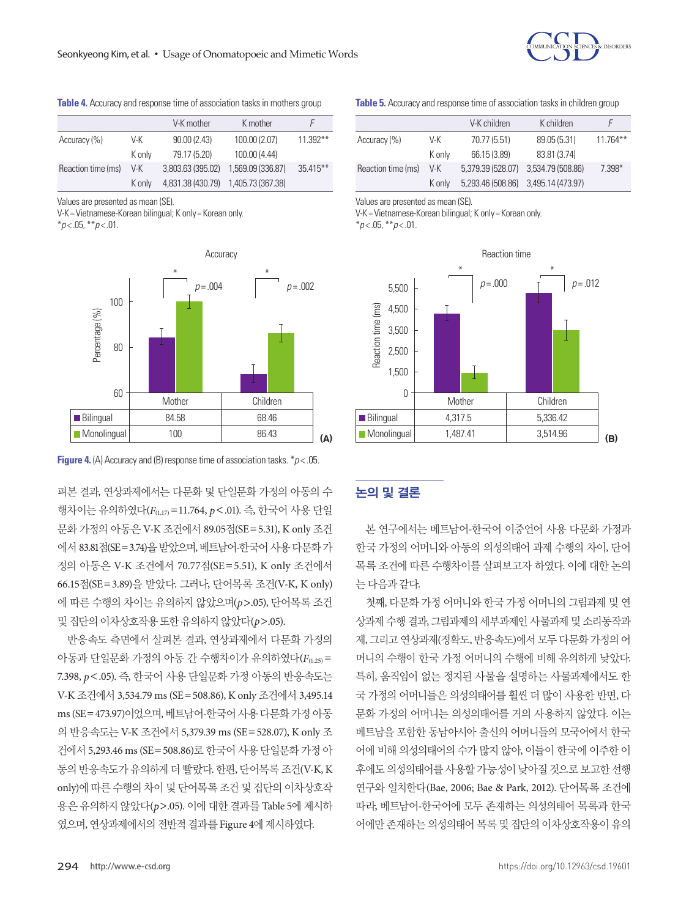

**Table 4.** Accuracy and response time of association tasks in mothers group

|                    |        | V-K mother        | K mother          |             |
|--------------------|--------|-------------------|-------------------|-------------|
| Accuracy (%)       | V-K    | 90.00(2.43)       | 100.00 (2.07)     | $11.392**$  |
|                    | K only | 79.17 (5.20)      | 100.00 (4.44)     |             |
| Reaction time (ms) | V-K    | 3.803.63 (395.02) | 1.569.09 (336.87) | $35.415***$ |
|                    | K only | 4,831.38 (430.79) | 1,405.73 (367.38) |             |

Values are presented as mean (SE).

V-K= Vietnamese-Korean bilingual; K only= Korean only. \**p* < .05, \*\**p* < .01.



**Figure 4.** (A) Accuracy and (B) response time of association tasks. \**p* < .05.

펴본 결과, 연상과제에서는 다문화 및 단일문화 가정의 아동의 수 행차이는 유의하였다(*F*(1,17)=11.764, *p*<.01). 즉, 한국어 사용 단일 문화 가정의 아동은 V-K 조건에서 89.05점(SE=5.31), K only 조건 에서 83.81점(SE=3.74)을받았으며, 베트남어-한국어사용다문화가 정의 아동은 V-K 조건에서 70.77점(SE=5.51), K only 조건에서 66.15점(SE=3.89)을 받았다. 그러나, 단어목록 조건(V-K, K only) 에 따른 수행의 차이는 유의하지 않았으며(*p*>.05), 단어목록 조건 및집단의이차상호작용또한유의하지않았다(*p*>.05).

반응속도 측면에서 살펴본 결과, 연상과제에서 다문화 가정의 아동과 단일문화 가정의 아동 간 수행차이가 유의하였다(*F*(1,25)= 7.398, *p*<.05). 즉, 한국어 사용 단일문화 가정 아동의 반응속도는 V-K 조건에서 3,534.79 ms (SE=508.86), K only 조건에서 3,495.14 ms (SE=473.97)이었으며, 베트남어-한국어사용다문화가정아동 의 반응속도는 V-K 조건에서 5,379.39 ms (SE=528.07), K only 조 건에서 5,293.46 ms (SE=508.86)로 한국어 사용 단일문화 가정 아 동의 반응속도가 유의하게 더 빨랐다. 한편, 단어목록 조건(V-K, K only)에 따른 수행의 차이 및 단어목록 조건 및 집단의 이차상호작 용은 유의하지 않았다(*p*>.05). 이에 대한 결과를 Table 5에 제시하 였으며, 연상과제에서의 전반적 결과를 Figure 4에 제시하였다.

**Table 5.** Accuracy and response time of association tasks in children group

|                    |        | V-K children      | K children        |            |
|--------------------|--------|-------------------|-------------------|------------|
| Accuracy (%)       | V-K    | 70.77 (5.51)      | 89.05 (5.31)      | $11.764**$ |
|                    | K only | 66.15 (3.89)      | 83.81 (3.74)      |            |
| Reaction time (ms) | V-K    | 5,379.39 (528.07) | 3,534.79 (508.86) | 7.398*     |
|                    | K only | 5,293.46 (508.86) | 3,495.14 (473.97) |            |

Values are presented as mean (SE).

V-K= Vietnamese-Korean bilingual; K only= Korean only.

\**p* < .05, \*\**p* < .01.



## 논의 및 결론

본 연구에서는 베트남어-한국어 이중언어 사용 다문화 가정과 한국 가정의 어머니와 아동의 의성의태어 과제 수행의 차이, 단어 목록 조건에 따른 수행차이를 살펴보고자 하였다. 이에 대한 논의 는다음과같다.

첫째, 다문화 가정 어머니와 한국 가정 어머니의 그림과제 및 연 상과제 수행 결과, 그림과제의 세부과제인 사물과제 및 소리동작과 제, 그리고 연상과제(정확도, 반응속도)에서 모두 다문화 가정의 어 머니의 수행이 한국 가정 어머니의 수행에 비해 유의하게 낮았다. 특히, 움직임이 없는 정지된 사물을 설명하는 사물과제에서도 한 국 가정의 어머니들은 의성의태어를 훨씬 더 많이 사용한 반면, 다 문화 가정의 어머니는 의성의태어를 거의 사용하지 않았다. 이는 베트남을 포함한 동남아시아 출신의 어머니들의 모국어에서 한국 어에 비해 의성의태어의 수가 많지 않아, 이들이 한국에 이주한 이 후에도 의성의태어를 사용할 가능성이 낮아질 것으로 보고한 선행 연구와 일치한다(Bae, 2006; Bae & Park, 2012). 단어목록 조건에 따라, 베트남어-한국어에 모두 존재하는 의성의태어 목록과 한국 어에만 존재하는 의성의태어 목록 및 집단의 이차상호작용이 유의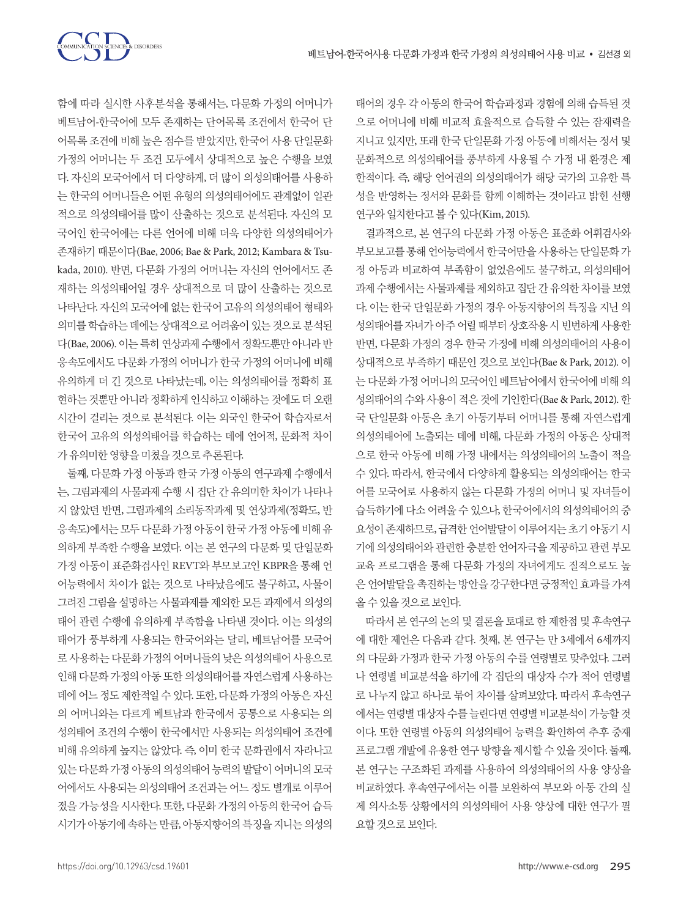

함에 따라 실시한 사후분석을 통해서는, 다문화 가정의 어머니가 베트남어-한국어에 모두 존재하는 단어목록 조건에서 한국어 단 어목록 조건에 비해 높은 점수를 받았지만, 한국어 사용 단일문화 가정의 어머니는 두 조건 모두에서 상대적으로 높은 수행을 보였 다. 자신의 모국어에서 더 다양하게, 더 많이 의성의태어를 사용하 는 한국의 어머니들은 어떤 유형의 의성의태어에도 관계없이 일관 적으로 의성의태어를 많이 산출하는 것으로 분석된다. 자신의 모 국어인 한국어에는 다른 언어에 비해 더욱 다양한 의성의태어가 존재하기 때문이다(Bae, 2006; Bae & Park, 2012; Kambara & Tsukada, 2010). 반면, 다문화 가정의 어머니는 자신의 언어에서도 존 재하는 의성의태어일 경우 상대적으로 더 많이 산출하는 것으로 나타난다. 자신의 모국어에 없는 한국어 고유의 의성의태어 형태와 의미를학습하는데에는상대적으로어려움이있는것으로분석된 다(Bae, 2006). 이는 특히 연상과제 수행에서 정확도뿐만 아니라 반 응속도에서도 다문화 가정의 어머니가 한국 가정의 어머니에 비해 유의하게 더 긴 것으로 나타났는데, 이는 의성의태어를 정확히 표 현하는 것뿐만 아니라 정확하게 인식하고 이해하는 것에도 더 오랜 시간이 걸리는 것으로 분석된다. 이는 외국인 한국어 학습자로서 한국어 고유의 의성의태어를 학습하는 데에 언어적, 문화적 차이 가유의미한영향을미쳤을것으로추론된다.

둘째, 다문화 가정 아동과 한국 가정 아동의 연구과제 수행에서 는, 그림과제의 사물과제 수행 시 집단 간 유의미한 차이가 나타나 지 않았던 반면, 그림과제의 소리동작과제 및 연상과제(정확도, 반 응속도)에서는모두다문화가정아동이한국가정아동에비해유 의하게 부족한 수행을 보였다. 이는 본 연구의 다문화 및 단일문화 가정 아동이 표준화검사인 REVT와 부모보고인 KBPR을 통해 언 어능력에서 차이가 없는 것으로 나타났음에도 불구하고, 사물이 그려진 그림을 설명하는 사물과제를 제외한 모든 과제에서 의성의 태어 관련 수행에 유의하게 부족함을 나타낸 것이다. 이는 의성의 태어가 풍부하게 사용되는 한국어와는 달리, 베트남어를 모국어 로 사용하는 다문화 가정의 어머니들의 낮은 의성의태어 사용으로 인해 다문화 가정의 아동 또한 의성의태어를 자연스럽게 사용하는 데에 어느 정도 제한적일 수 있다. 또한, 다문화 가정의 아동은 자신 의 어머니와는 다르게 베트남과 한국에서 공통으로 사용되는 의 성의태어 조건의 수행이 한국에서만 사용되는 의성의태어 조건에 비해 유의하게 높지는 않았다. 즉, 이미 한국 문화권에서 자라나고 있는 다문화 가정 아동의 의성의태어 능력의 발달이 어머니의 모국 어에서도 사용되는 의성의태어 조건과는 어느 정도 별개로 이루어 졌을 가능성을 시사한다. 또한, 다문화 가정의 아동의 한국어 습득 시기가아동기에속하는만큼, 아동지향어의특징을지니는의성의

태어의 경우 각 아동의 한국어 학습과정과 경험에 의해 습득된 것 으로 어머니에 비해 비교적 효율적으로 습득할 수 있는 잠재력을 지니고 있지만, 또래 한국 단일문화 가정 아동에 비해서는 정서 및 문화적으로 의성의태어를 풍부하게 사용될 수 가정 내 환경은 제 한적이다. 즉, 해당 언어권의 의성의태어가 해당 국가의 고유한 특 성을 반영하는 정서와 문화를 함께 이해하는 것이라고 밝힌 선행 연구와 일치한다고 볼 수 있다(Kim, 2015).

결과적으로, 본 연구의 다문화 가정 아동은 표준화 어휘검사와 부모보고를 통해 언어능력에서 한국어만을 사용하는 단일문화 가 정 아동과 비교하여 부족함이 없었음에도 불구하고, 의성의태어 과제 수행에서는 사물과제를 제외하고 집단 간 유의한 차이를 보였 다. 이는 한국 단일문화 가정의 경우 아동지향어의 특징을 지닌 의 성의태어를 자녀가 아주 어릴 때부터 상호작용 시 빈번하게 사용한 반면, 다문화 가정의 경우 한국 가정에 비해 의성의태어의 사용이 상대적으로 부족하기 때문인 것으로 보인다(Bae & Park, 2012). 이 는 다문화 가정 어머니의 모국어이 베트남어에서 한국어에 비해 의 성의태어의 수와 사용이 적은 것에 기인한다(Bae & Park, 2012). 한 국 단일문화 아동은 초기 아동기부터 어머니를 통해 자연스럽게 의성의태어에 노출되는 데에 비해, 다문화 가정의 아동은 상대적 으로 한국 아동에 비해 가정 내에서는 의성의태어의 노출이 적을 수 있다. 따라서, 한국에서 다양하게 활용되는 의성의태어는 한국 어를 모국어로 사용하지 않는 다문화 가정의 어머니 및 자녀들이 습득하기에 다소 어려울 수 있으나, 한국어에서의 의성의태어의 중 요성이 존재하므로, 급격한 언어발달이 이루어지는 초기 아동기 시 기에 의성의태어와 관련한 충분한 언어자극을 제공하고 관련 부모 교육 프로그램을 통해 다문화 가정의 자녀에게도 질적으로도 높 은언어발달을촉진하는방안을강구한다면긍정적인효과를가져 올수있을것으로보인다.

따라서 본 연구의 논의 및 결론을 토대로 한 제한점 및 후속연구 에 대한 제언은 다음과 같다. 첫째, 본 연구는 만 3세에서 6세까지 의 다문화 가정과 한국 가정 아동의 수를 연령별로 맞추었다. 그러 나 연령별 비교분석을 하기에 각 집단의 대상자 수가 적어 연령별 로 나누지 않고 하나로 묶어 차이를 살펴보았다. 따라서 후속연구 에서는 연령별 대상자 수를 늘린다면 연령별 비교분석이 가능할 것 이다. 또한 연령별 아동의 의성의태어 능력을 확인하여 추후 중재 프로그램 개발에 유용한 연구 방향을 제시할 수 있을 것이다. 둘째, 본 연구는 구조화된 과제를 사용하여 의성의태어의 사용 양상을 비교하였다. 후속연구에서는 이를 보완하여 부모와 아동 간의 실 제 의사소통 상황에서의 의성의태어 사용 양상에 대한 연구가 필 요할것으로보인다.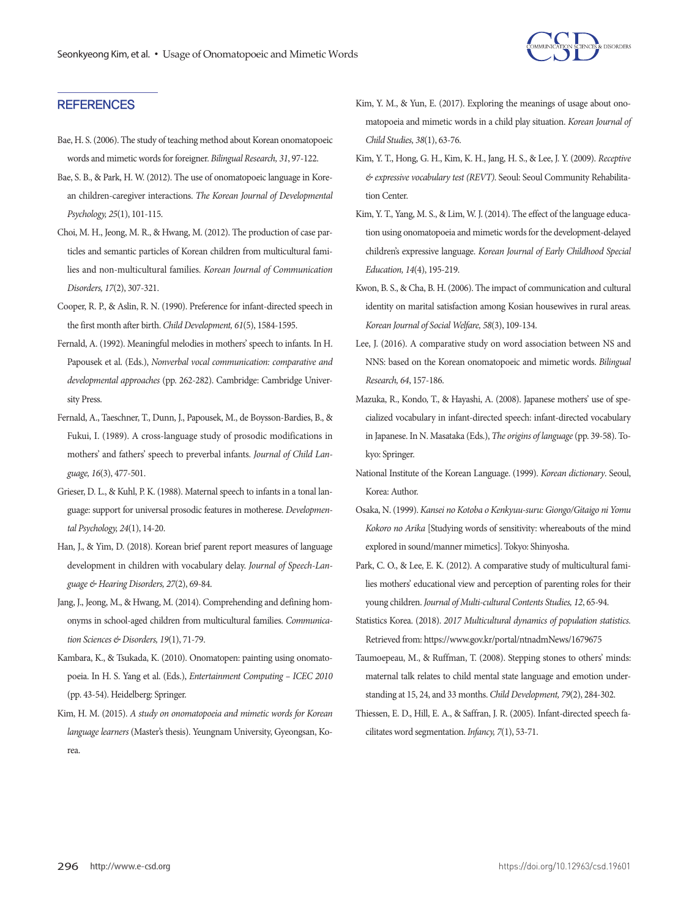

## **REFERENCES**

- Bae, H. S. (2006). The study of teaching method about Korean onomatopoeic words and mimetic words for foreigner. *Bilingual Research, 31*, 97-122.
- Bae, S. B., & Park, H. W. (2012). The use of onomatopoeic language in Korean children-caregiver interactions. *The Korean Journal of Developmental Psychology, 25*(1), 101-115.
- Choi, M. H., Jeong, M. R., & Hwang, M. (2012). The production of case particles and semantic particles of Korean children from multicultural families and non-multicultural families. *Korean Journal of Communication Disorders, 17*(2), 307-321.
- Cooper, R. P., & Aslin, R. N. (1990). Preference for infant‐directed speech in the first month after birth. *Child Development, 61*(5), 1584-1595.
- Fernald, A. (1992). Meaningful melodies in mothers' speech to infants. In H. Papousek et al. (Eds.), *Nonverbal vocal communication: comparative and developmental approaches* (pp. 262-282). Cambridge: Cambridge University Press.
- Fernald, A., Taeschner, T., Dunn, J., Papousek, M., de Boysson-Bardies, B., & Fukui, I. (1989). A cross-language study of prosodic modifications in mothers' and fathers' speech to preverbal infants. *Journal of Child Language, 16*(3), 477-501.
- Grieser, D. L., & Kuhl, P. K. (1988). Maternal speech to infants in a tonal language: support for universal prosodic features in motherese. *Developmental Psychology, 24*(1), 14-20.
- Han, J., & Yim, D. (2018). Korean brief parent report measures of language development in children with vocabulary delay. *Journal of Speech-Language & Hearing Disorders, 27*(2), 69-84.
- Jang, J., Jeong, M., & Hwang, M. (2014). Comprehending and defining homonyms in school-aged children from multicultural families. *Communication Sciences & Disorders, 19*(1), 71-79.
- Kambara, K., & Tsukada, K. (2010). Onomatopen: painting using onomatopoeia. In H. S. Yang et al. (Eds.), *Entertainment Computing – ICEC 2010* (pp. 43-54). Heidelberg: Springer.
- Kim, H. M. (2015). *A study on onomatopoeia and mimetic words for Korean language learners* (Master's thesis). Yeungnam University, Gyeongsan, Korea.
- Kim, Y. M., & Yun, E. (2017). Exploring the meanings of usage about onomatopoeia and mimetic words in a child play situation. *Korean Journal of Child Studies, 38*(1), 63-76.
- Kim, Y. T., Hong, G. H., Kim, K. H., Jang, H. S., & Lee, J. Y. (2009). *Receptive & expressive vocabulary test (REVT)*. Seoul: Seoul Community Rehabilitation Center.
- Kim, Y. T., Yang, M. S., & Lim, W. J. (2014). The effect of the language education using onomatopoeia and mimetic words for the development-delayed children's expressive language. *Korean Journal of Early Childhood Special Education, 14*(4), 195-219.
- Kwon, B. S., & Cha, B. H. (2006). The impact of communication and cultural identity on marital satisfaction among Kosian housewives in rural areas. *Korean Journal of Social Welfare, 58*(3), 109-134.
- Lee, J. (2016). A comparative study on word association between NS and NNS: based on the Korean onomatopoeic and mimetic words. *Bilingual Research, 64*, 157-186.
- Mazuka, R., Kondo, T., & Hayashi, A. (2008). Japanese mothers' use of specialized vocabulary in infant-directed speech: infant-directed vocabulary in Japanese. In N. Masataka (Eds.), *The origins of language* (pp. 39-58). Tokyo: Springer.
- National Institute of the Korean Language. (1999). *Korean dictionary*. Seoul, Korea: Author.
- Osaka, N. (1999). *Kansei no Kotoba o Kenkyuu-suru: Giongo/Gitaigo ni Yomu Kokoro no Arika* [Studying words of sensitivity: whereabouts of the mind explored in sound/manner mimetics]. Tokyo: Shinyosha.
- Park, C. O., & Lee, E. K. (2012). A comparative study of multicultural families mothers' educational view and perception of parenting roles for their young children. *Journal of Multi-cultural Contents Studies, 12*, 65-94.
- Statistics Korea. (2018). *2017 Multicultural dynamics of population statistics.*  Retrieved from: https://www.gov.kr/portal/ntnadmNews/1679675
- Taumoepeau, M., & Ruffman, T. (2008). Stepping stones to others' minds: maternal talk relates to child mental state language and emotion understanding at 15, 24, and 33 months. *Child Development, 79*(2), 284-302.
- Thiessen, E. D., Hill, E. A., & Saffran, J. R. (2005). Infant-directed speech facilitates word segmentation. *Infancy, 7*(1), 53-71.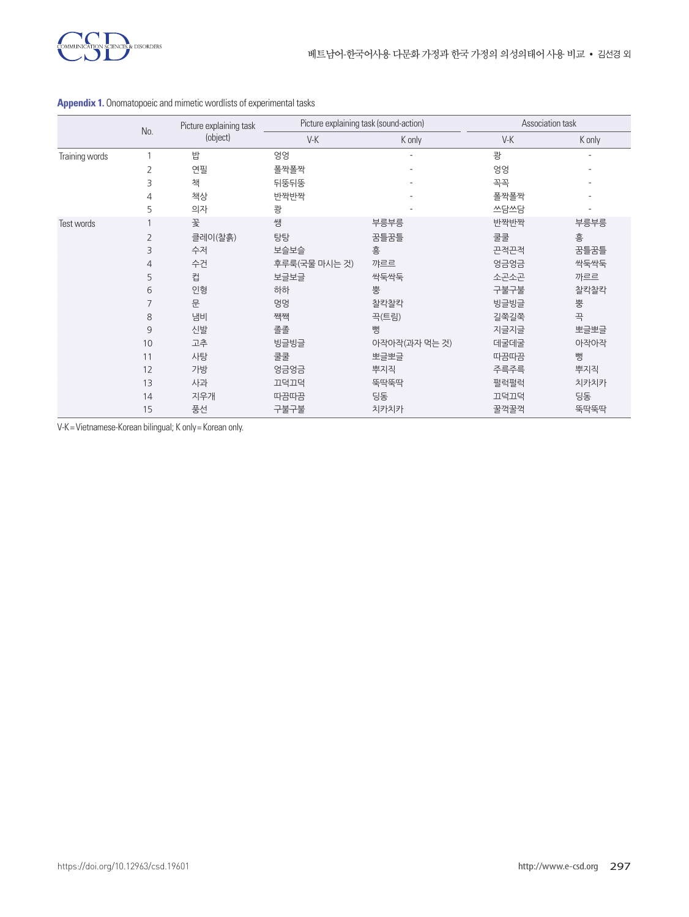

|                |                | Picture explaining task<br>(object) | Picture explaining task (sound-action)<br>No. |               |       | Association task |  |
|----------------|----------------|-------------------------------------|-----------------------------------------------|---------------|-------|------------------|--|
|                |                |                                     | $V-K$                                         | K only        | $V-K$ | K only           |  |
| Training words |                | 밥                                   | 엉엉                                            |               | 쾅     | ٠                |  |
|                | $\overline{2}$ | 연필                                  | 폴짝폴짝                                          |               | 엉엉    |                  |  |
|                | 3              | 책                                   | 뒤뚱뒤뚱                                          |               | 꼭꼭    | ۰                |  |
|                | 4              | 책상                                  | 반짝반짝                                          |               | 폴짝폴짝  |                  |  |
|                | 5              | 의자                                  | 쾅                                             |               | 쓰담쓰담  |                  |  |
| Test words     |                | 꽃                                   | 쌩                                             | 부릉부릉          | 반짝반짝  | 부릉부릉             |  |
|                | 2              | 클레이(찰흙)                             | 탕탕                                            | 꿈틀꿈틀          | 쿨쿨    | 흥                |  |
|                | 3              | 수저                                  | 보슬보슬                                          | 흥             | 끈적끈적  | 꿈틀꿈틀             |  |
|                | $\overline{4}$ | 수건                                  | 후루룩(국물 마시는 것)                                 | 꺄르르           | 엉금엉금  | 싹둑싹둑             |  |
|                | 5              | 컵                                   | 보글보글                                          | 싹둑싹둑          | 소곤소곤  | 까르르              |  |
|                | 6              | 인형                                  | 하하                                            | 뿡             | 구불구불  | 찰칵찰칵             |  |
|                | 7              | 문                                   | 멍멍                                            | 찰칵찰칵          | 빙글빙글  | 뿡                |  |
|                | 8              | 냄비                                  | 짹짹                                            | 끅(트림)         | 길쭉길쭉  | 끅                |  |
|                | 9              | 신발                                  | 졸졸                                            | 뻥             | 지글지글  | 뽀글뽀글             |  |
|                | 10             | 고추                                  | 빙글빙글                                          | 아작아작(과자 먹는 것) | 데굴데굴  | 아작아작             |  |
|                | 11             | 사탕                                  | 쿨쿨                                            | 뽀글뽀글          | 따끔따끔  | 뺑                |  |
|                | 12             | 가방                                  | 엉금엉금                                          | 뿌지직           | 주륵주륵  | 뿌지직              |  |
|                | 13             | 사과                                  | 끄덕끄덕                                          | 뚝딱뚝딱          | 펄럭펄럭  | 치카치카             |  |
|                | 14             | 지우개                                 | 따끔따끔                                          | 딩동            | 끄덕끄덕  | 딩동               |  |
|                | 15             | 풍선                                  | 구불구불                                          | 치카치카          | 꿀꺽꿀꺽  | 뚝딱뚝딱             |  |

# **Appendix 1.** Onomatopoeic and mimetic wordlists of experimental tasks

V-K= Vietnamese-Korean bilingual; K only= Korean only.